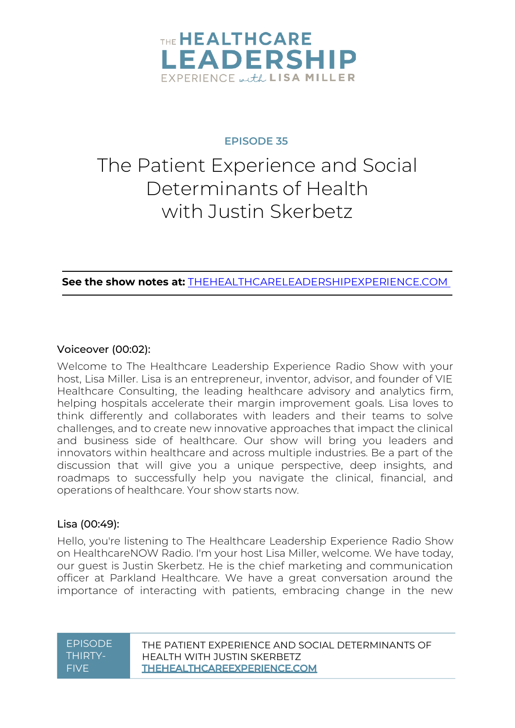

# **EPISODE 35**

# The Patient Experience and Social Determinants of Health with Justin Skerbetz

**See the show notes at:** [THEHEALTHCARELEADERSHIPEXPERIENCE.COM](https://www.thehealthcareleadershipexperience.com/the-patient-experience-social-determinants-of-health-episode-35/)

### Voiceover (00:02):

Welcome to The Healthcare Leadership Experience Radio Show with your host, Lisa Miller. Lisa is an entrepreneur, inventor, advisor, and founder of VIE Healthcare Consulting, the leading healthcare advisory and analytics firm, helping hospitals accelerate their margin improvement goals. Lisa loves to think differently and collaborates with leaders and their teams to solve challenges, and to create new innovative approaches that impact the clinical and business side of healthcare. Our show will bring you leaders and innovators within healthcare and across multiple industries. Be a part of the discussion that will give you a unique perspective, deep insights, and roadmaps to successfully help you navigate the clinical, financial, and operations of healthcare. Your show starts now.

#### Lisa (00:49):

Hello, you're listening to The Healthcare Leadership Experience Radio Show on HealthcareNOW Radio. I'm your host Lisa Miller, welcome. We have today, our guest is Justin Skerbetz. He is the chief marketing and communication officer at Parkland Healthcare. We have a great conversation around the importance of interacting with patients, embracing change in the new

#### EPISODE THIRTY-FIVE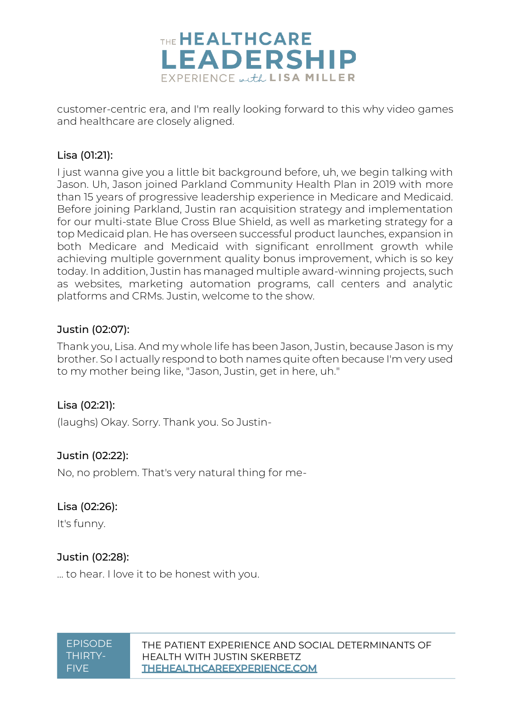

customer-centric era, and I'm really looking forward to this why video games and healthcare are closely aligned.

# Lisa (01:21):

I just wanna give you a little bit background before, uh, we begin talking with Jason. Uh, Jason joined Parkland Community Health Plan in 2019 with more than 15 years of progressive leadership experience in Medicare and Medicaid. Before joining Parkland, Justin ran acquisition strategy and implementation for our multi-state Blue Cross Blue Shield, as well as marketing strategy for a top Medicaid plan. He has overseen successful product launches, expansion in both Medicare and Medicaid with significant enrollment growth while achieving multiple government quality bonus improvement, which is so key today. In addition, Justin has managed multiple award-winning projects, such as websites, marketing automation programs, call centers and analytic platforms and CRMs. Justin, welcome to the show.

# Justin (02:07):

Thank you, Lisa. And my whole life has been Jason, Justin, because Jason is my brother. So I actually respond to both names quite often because I'm very used to my mother being like, "Jason, Justin, get in here, uh."

# Lisa (02:21):

(laughs) Okay. Sorry. Thank you. So Justin-

# Justin (02:22):

No, no problem. That's very natural thing for me-

# Lisa (02:26):

It's funny.

# Justin (02:28):

... to hear. I love it to be honest with you.

**FPISODE** THIRTY-FIVE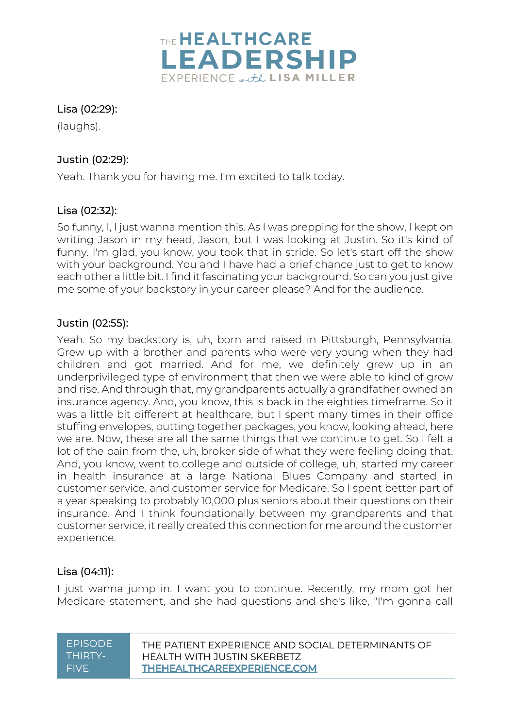

# Lisa (02:29):

(laughs).

# Justin (02:29):

Yeah. Thank you for having me. I'm excited to talk today.

# Lisa (02:32):

So funny, I, I just wanna mention this. As I was prepping for the show, I kept on writing Jason in my head, Jason, but I was looking at Justin. So it's kind of funny. I'm glad, you know, you took that in stride. So let's start off the show with your background. You and I have had a brief chance just to get to know each other a little bit. I find it fascinating your background. So can you just give me some of your backstory in your career please? And for the audience.

# Justin (02:55):

Yeah. So my backstory is, uh, born and raised in Pittsburgh, Pennsylvania. Grew up with a brother and parents who were very young when they had children and got married. And for me, we definitely grew up in an underprivileged type of environment that then we were able to kind of grow and rise. And through that, my grandparents actually a grandfather owned an insurance agency. And, you know, this is back in the eighties timeframe. So it was a little bit different at healthcare, but I spent many times in their office stuffing envelopes, putting together packages, you know, looking ahead, here we are. Now, these are all the same things that we continue to get. So I felt a lot of the pain from the, uh, broker side of what they were feeling doing that. And, you know, went to college and outside of college, uh, started my career in health insurance at a large National Blues Company and started in customer service, and customer service for Medicare. So I spent better part of a year speaking to probably 10,000 plus seniors about their questions on their insurance. And I think foundationally between my grandparents and that customer service, it really created this connection for me around the customer experience.

# Lisa (04:11):

I just wanna jump in. I want you to continue. Recently, my mom got her Medicare statement, and she had questions and she's like, "I'm gonna call

| <b>EPISODE</b> |
|----------------|
| THIRTY-        |
| FIVF           |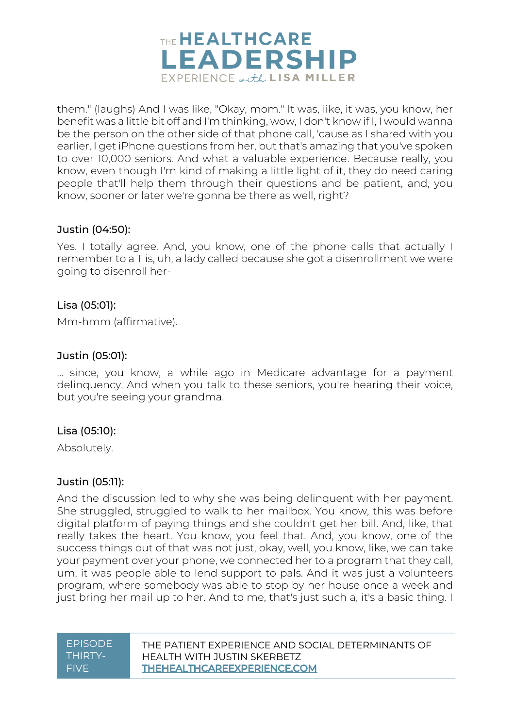

them." (laughs) And I was like, "Okay, mom." It was, like, it was, you know, her benefit was a little bit off and I'm thinking, wow, I don't know if I, I would wanna be the person on the other side of that phone call, 'cause as I shared with you earlier, I get iPhone questions from her, but that's amazing that you've spoken to over 10,000 seniors. And what a valuable experience. Because really, you know, even though I'm kind of making a little light of it, they do need caring people that'll help them through their questions and be patient, and, you know, sooner or later we're gonna be there as well, right?

### Justin (04:50):

Yes. I totally agree. And, you know, one of the phone calls that actually I remember to a T is, uh, a lady called because she got a disenrollment we were going to disenroll her-

### Lisa (05:01):

Mm-hmm (affirmative).

### Justin (05:01):

... since, you know, a while ago in Medicare advantage for a payment delinquency. And when you talk to these seniors, you're hearing their voice, but you're seeing your grandma.

#### Lisa (05:10):

Absolutely.

#### Justin (05:11):

And the discussion led to why she was being delinquent with her payment. She struggled, struggled to walk to her mailbox. You know, this was before digital platform of paying things and she couldn't get her bill. And, like, that really takes the heart. You know, you feel that. And, you know, one of the success things out of that was not just, okay, well, you know, like, we can take your payment over your phone, we connected her to a program that they call, um, it was people able to lend support to pals. And it was just a volunteers program, where somebody was able to stop by her house once a week and just bring her mail up to her. And to me, that's just such a, it's a basic thing. I

#### **FPISODE** THIRTY-FIVE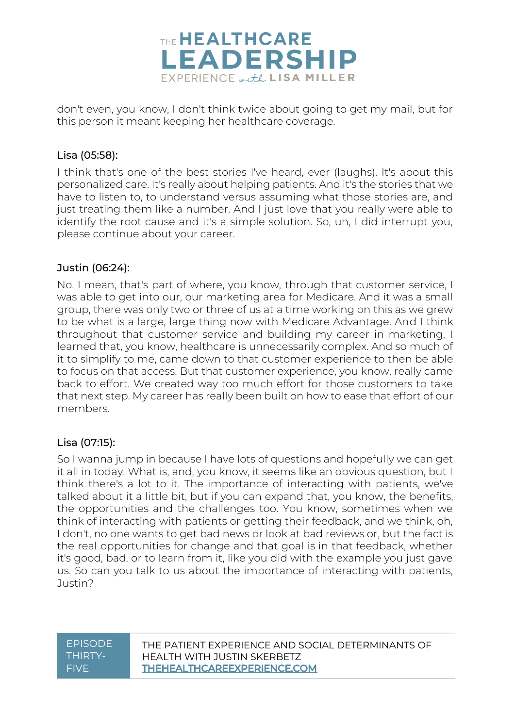

don't even, you know, I don't think twice about going to get my mail, but for this person it meant keeping her healthcare coverage.

# Lisa (05:58):

I think that's one of the best stories I've heard, ever (laughs). It's about this personalized care. It's really about helping patients. And it's the stories that we have to listen to, to understand versus assuming what those stories are, and just treating them like a number. And I just love that you really were able to identify the root cause and it's a simple solution. So, uh, I did interrupt you, please continue about your career.

# Justin (06:24):

No. I mean, that's part of where, you know, through that customer service, I was able to get into our, our marketing area for Medicare. And it was a small group, there was only two or three of us at a time working on this as we grew to be what is a large, large thing now with Medicare Advantage. And I think throughout that customer service and building my career in marketing, I learned that, you know, healthcare is unnecessarily complex. And so much of it to simplify to me, came down to that customer experience to then be able to focus on that access. But that customer experience, you know, really came back to effort. We created way too much effort for those customers to take that next step. My career has really been built on how to ease that effort of our members.

# Lisa (07:15):

So I wanna jump in because I have lots of questions and hopefully we can get it all in today. What is, and, you know, it seems like an obvious question, but I think there's a lot to it. The importance of interacting with patients, we've talked about it a little bit, but if you can expand that, you know, the benefits, the opportunities and the challenges too. You know, sometimes when we think of interacting with patients or getting their feedback, and we think, oh, I don't, no one wants to get bad news or look at bad reviews or, but the fact is the real opportunities for change and that goal is in that feedback, whether it's good, bad, or to learn from it, like you did with the example you just gave us. So can you talk to us about the importance of interacting with patients, Justin?

| <b>EPISODE</b> |
|----------------|
| THIRTY-        |
| <b>FIVF</b>    |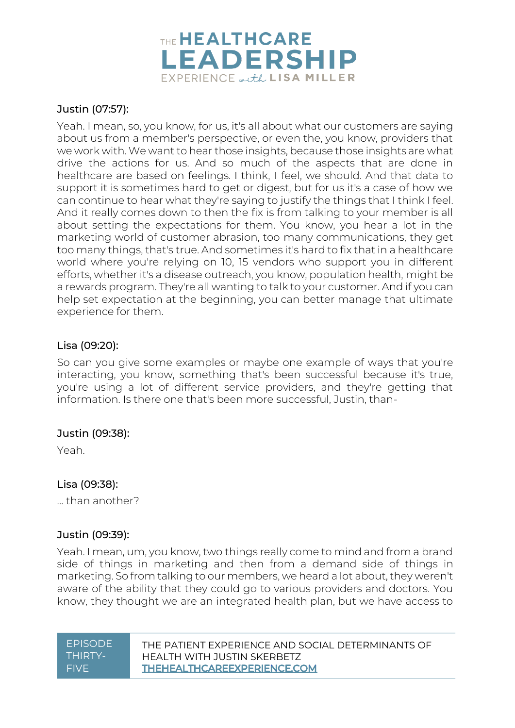

# Justin (07:57):

Yeah. I mean, so, you know, for us, it's all about what our customers are saying about us from a member's perspective, or even the, you know, providers that we work with. We want to hear those insights, because those insights are what drive the actions for us. And so much of the aspects that are done in healthcare are based on feelings. I think, I feel, we should. And that data to support it is sometimes hard to get or digest, but for us it's a case of how we can continue to hear what they're saying to justify the things that I think I feel. And it really comes down to then the fix is from talking to your member is all about setting the expectations for them. You know, you hear a lot in the marketing world of customer abrasion, too many communications, they get too many things, that's true. And sometimes it's hard to fix that in a healthcare world where you're relying on 10, 15 vendors who support you in different efforts, whether it's a disease outreach, you know, population health, might be a rewards program. They're all wanting to talk to your customer. And if you can help set expectation at the beginning, you can better manage that ultimate experience for them.

### Lisa (09:20):

So can you give some examples or maybe one example of ways that you're interacting, you know, something that's been successful because it's true, you're using a lot of different service providers, and they're getting that information. Is there one that's been more successful, Justin, than-

#### Justin (09:38):

Yeah.

#### Lisa (09:38):

... than another?

# Justin (09:39):

Yeah. I mean, um, you know, two things really come to mind and from a brand side of things in marketing and then from a demand side of things in marketing. So from talking to our members, we heard a lot about, they weren't aware of the ability that they could go to various providers and doctors. You know, they thought we are an integrated health plan, but we have access to

| <u>EPISODE</u> |
|----------------|
| THIRTY-        |
| FIVE           |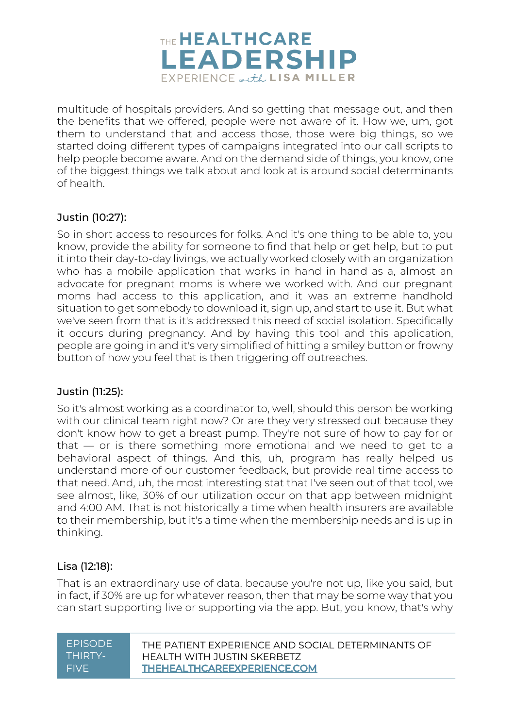

multitude of hospitals providers. And so getting that message out, and then the benefits that we offered, people were not aware of it. How we, um, got them to understand that and access those, those were big things, so we started doing different types of campaigns integrated into our call scripts to help people become aware. And on the demand side of things, you know, one of the biggest things we talk about and look at is around social determinants of health.

# Justin (10:27):

So in short access to resources for folks. And it's one thing to be able to, you know, provide the ability for someone to find that help or get help, but to put it into their day-to-day livings, we actually worked closely with an organization who has a mobile application that works in hand in hand as a, almost an advocate for pregnant moms is where we worked with. And our pregnant moms had access to this application, and it was an extreme handhold situation to get somebody to download it, sign up, and start to use it. But what we've seen from that is it's addressed this need of social isolation. Specifically it occurs during pregnancy. And by having this tool and this application, people are going in and it's very simplified of hitting a smiley button or frowny button of how you feel that is then triggering off outreaches.

#### Justin (11:25):

So it's almost working as a coordinator to, well, should this person be working with our clinical team right now? Or are they very stressed out because they don't know how to get a breast pump. They're not sure of how to pay for or that — or is there something more emotional and we need to get to a behavioral aspect of things. And this, uh, program has really helped us understand more of our customer feedback, but provide real time access to that need. And, uh, the most interesting stat that I've seen out of that tool, we see almost, like, 30% of our utilization occur on that app between midnight and 4:00 AM. That is not historically a time when health insurers are available to their membership, but it's a time when the membership needs and is up in thinking.

# Lisa (12:18):

That is an extraordinary use of data, because you're not up, like you said, but in fact, if 30% are up for whatever reason, then that may be some way that you can start supporting live or supporting via the app. But, you know, that's why

| <b>FPISODE</b> | THE PATIENT EXPERIENCE AND SOCIAL DETERMINANTS OF |
|----------------|---------------------------------------------------|
| THIRTY-        | HEALTH WITH JUSTIN SKERBETZ                       |
| <b>FIVE</b>    | <b>THEHEALTHCAREEXPERIENCE.COM</b>                |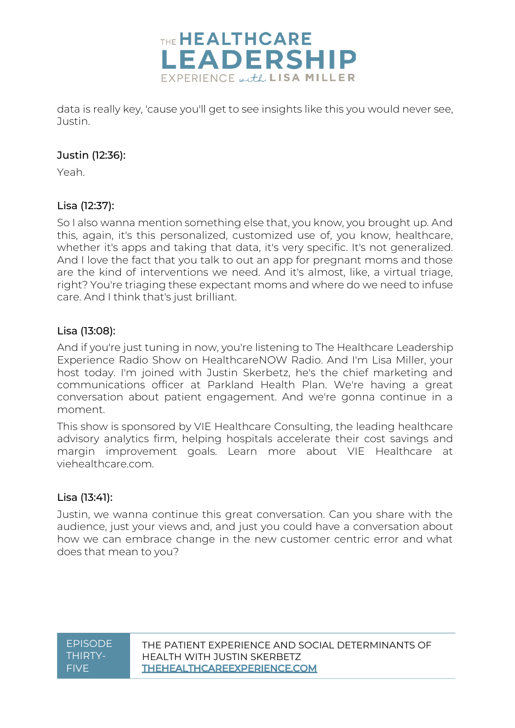

data is really key, 'cause you'll get to see insights like this you would never see, Justin.

# Justin (12:36):

Yeah.

# Lisa (12:37):

So I also wanna mention something else that, you know, you brought up. And this, again, it's this personalized, customized use of, you know, healthcare, whether it's apps and taking that data, it's very specific. It's not generalized. And I love the fact that you talk to out an app for pregnant moms and those are the kind of interventions we need. And it's almost, like, a virtual triage, right? You're triaging these expectant moms and where do we need to infuse care. And I think that's just brilliant.

# Lisa (13:08):

And if you're just tuning in now, you're listening to The Healthcare Leadership Experience Radio Show on HealthcareNOW Radio. And I'm Lisa Miller, your host today. I'm joined with Justin Skerbetz, he's the chief marketing and communications officer at Parkland Health Plan. We're having a great conversation about patient engagement. And we're gonna continue in a moment.

This show is sponsored by VIE Healthcare Consulting, the leading healthcare advisory analytics firm, helping hospitals accelerate their cost savings and margin improvement goals. Learn more about VIE Healthcare at viehealthcare.com.

# Lisa (13:41):

Justin, we wanna continue this great conversation. Can you share with the audience, just your views and, and just you could have a conversation about how we can embrace change in the new customer centric error and what does that mean to you?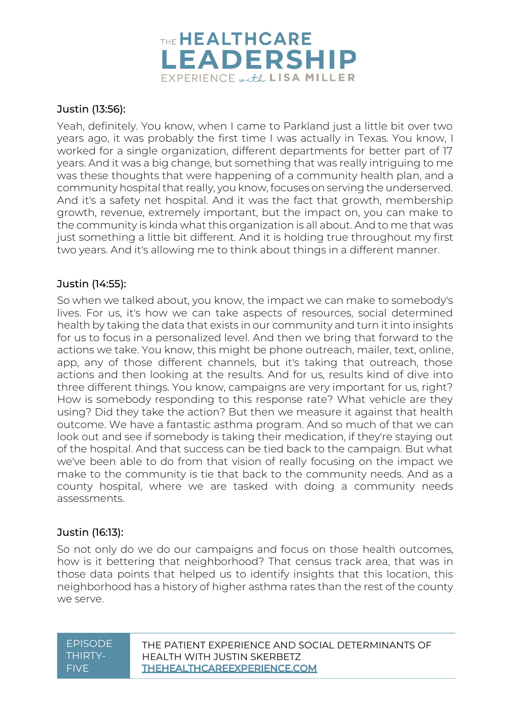

# Justin (13:56):

Yeah, definitely. You know, when I came to Parkland just a little bit over two years ago, it was probably the first time I was actually in Texas. You know, I worked for a single organization, different departments for better part of 17 years. And it was a big change, but something that was really intriguing to me was these thoughts that were happening of a community health plan, and a community hospital that really, you know, focuses on serving the underserved. And it's a safety net hospital. And it was the fact that growth, membership growth, revenue, extremely important, but the impact on, you can make to the community is kinda what this organization is all about. And to me that was just something a little bit different. And it is holding true throughout my first two years. And it's allowing me to think about things in a different manner.

# Justin (14:55):

So when we talked about, you know, the impact we can make to somebody's lives. For us, it's how we can take aspects of resources, social determined health by taking the data that exists in our community and turn it into insights for us to focus in a personalized level. And then we bring that forward to the actions we take. You know, this might be phone outreach, mailer, text, online, app, any of those different channels, but it's taking that outreach, those actions and then looking at the results. And for us, results kind of dive into three different things. You know, campaigns are very important for us, right? How is somebody responding to this response rate? What vehicle are they using? Did they take the action? But then we measure it against that health outcome. We have a fantastic asthma program. And so much of that we can look out and see if somebody is taking their medication, if they're staying out of the hospital. And that success can be tied back to the campaign. But what we've been able to do from that vision of really focusing on the impact we make to the community is tie that back to the community needs. And as a county hospital, where we are tasked with doing a community needs assessments.

# Justin (16:13):

So not only do we do our campaigns and focus on those health outcomes, how is it bettering that neighborhood? That census track area, that was in those data points that helped us to identify insights that this location, this neighborhood has a history of higher asthma rates than the rest of the county we serve.

| <b>EPISODE</b> |
|----------------|
| THIRTY-        |
| <b>FIVF</b>    |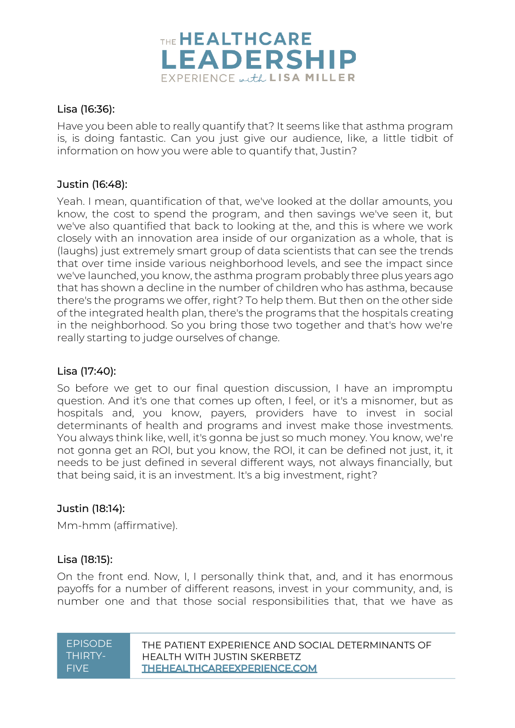

# Lisa (16:36):

Have you been able to really quantify that? It seems like that asthma program is, is doing fantastic. Can you just give our audience, like, a little tidbit of information on how you were able to quantify that, Justin?

# Justin (16:48):

Yeah. I mean, quantification of that, we've looked at the dollar amounts, you know, the cost to spend the program, and then savings we've seen it, but we've also quantified that back to looking at the, and this is where we work closely with an innovation area inside of our organization as a whole, that is (laughs) just extremely smart group of data scientists that can see the trends that over time inside various neighborhood levels, and see the impact since we've launched, you know, the asthma program probably three plus years ago that has shown a decline in the number of children who has asthma, because there's the programs we offer, right? To help them. But then on the other side of the integrated health plan, there's the programs that the hospitals creating in the neighborhood. So you bring those two together and that's how we're really starting to judge ourselves of change.

#### Lisa (17:40):

So before we get to our final question discussion, I have an impromptu question. And it's one that comes up often, I feel, or it's a misnomer, but as hospitals and, you know, payers, providers have to invest in social determinants of health and programs and invest make those investments. You always think like, well, it's gonna be just so much money. You know, we're not gonna get an ROI, but you know, the ROI, it can be defined not just, it, it needs to be just defined in several different ways, not always financially, but that being said, it is an investment. It's a big investment, right?

#### Justin (18:14):

Mm-hmm (affirmative).

#### Lisa (18:15):

On the front end. Now, I, I personally think that, and, and it has enormous payoffs for a number of different reasons, invest in your community, and, is number one and that those social responsibilities that, that we have as

| <b>EPISODE</b> |  |
|----------------|--|
| THIRTY-        |  |
| FIVE           |  |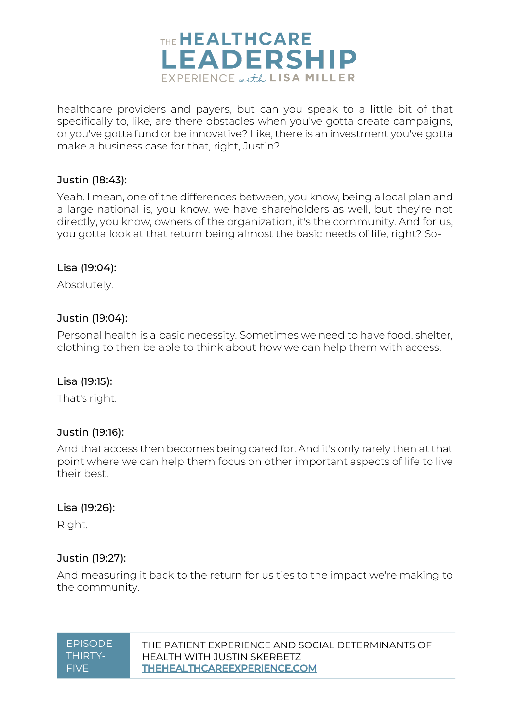

healthcare providers and payers, but can you speak to a little bit of that specifically to, like, are there obstacles when you've gotta create campaigns, or you've gotta fund or be innovative? Like, there is an investment you've gotta make a business case for that, right, Justin?

#### Justin (18:43):

Yeah. I mean, one of the differences between, you know, being a local plan and a large national is, you know, we have shareholders as well, but they're not directly, you know, owners of the organization, it's the community. And for us, you gotta look at that return being almost the basic needs of life, right? So-

#### Lisa (19:04):

Absolutely.

### Justin (19:04):

Personal health is a basic necessity. Sometimes we need to have food, shelter, clothing to then be able to think about how we can help them with access.

#### Lisa (19:15):

That's right.

#### Justin (19:16):

And that access then becomes being cared for. And it's only rarely then at that point where we can help them focus on other important aspects of life to live their best.

#### Lisa (19:26):

Right.

#### Justin (19:27):

And measuring it back to the return for us ties to the impact we're making to the community.

EPISODE THIRTY-**FIVE**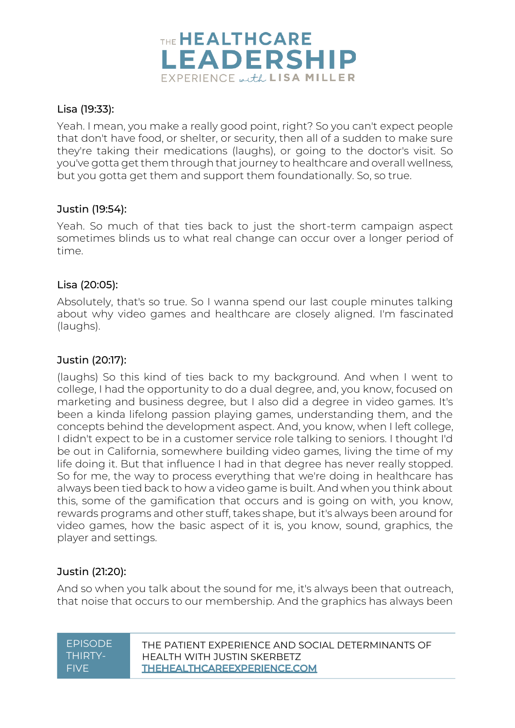

# Lisa (19:33):

Yeah. I mean, you make a really good point, right? So you can't expect people that don't have food, or shelter, or security, then all of a sudden to make sure they're taking their medications (laughs), or going to the doctor's visit. So you've gotta get them through that journey to healthcare and overall wellness, but you gotta get them and support them foundationally. So, so true.

### Justin (19:54):

Yeah. So much of that ties back to just the short-term campaign aspect sometimes blinds us to what real change can occur over a longer period of time.

#### Lisa (20:05):

Absolutely, that's so true. So I wanna spend our last couple minutes talking about why video games and healthcare are closely aligned. I'm fascinated (laughs).

# Justin (20:17):

(laughs) So this kind of ties back to my background. And when I went to college, I had the opportunity to do a dual degree, and, you know, focused on marketing and business degree, but I also did a degree in video games. It's been a kinda lifelong passion playing games, understanding them, and the concepts behind the development aspect. And, you know, when I left college, I didn't expect to be in a customer service role talking to seniors. I thought I'd be out in California, somewhere building video games, living the time of my life doing it. But that influence I had in that degree has never really stopped. So for me, the way to process everything that we're doing in healthcare has always been tied back to how a video game is built. And when you think about this, some of the gamification that occurs and is going on with, you know, rewards programs and other stuff, takes shape, but it's always been around for video games, how the basic aspect of it is, you know, sound, graphics, the player and settings.

# Justin (21:20):

And so when you talk about the sound for me, it's always been that outreach, that noise that occurs to our membership. And the graphics has always been

| <b>EPISODE</b> |
|----------------|
| THIRTY-        |
| FIVE           |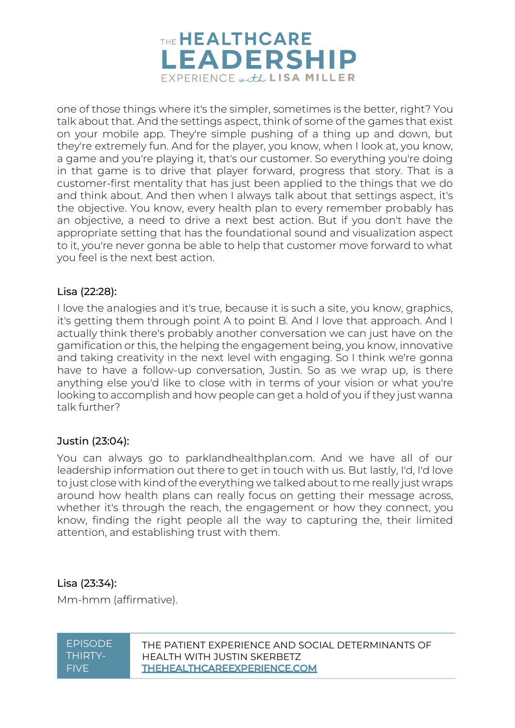

one of those things where it's the simpler, sometimes is the better, right? You talk about that. And the settings aspect, think of some of the games that exist on your mobile app. They're simple pushing of a thing up and down, but they're extremely fun. And for the player, you know, when I look at, you know, a game and you're playing it, that's our customer. So everything you're doing in that game is to drive that player forward, progress that story. That is a customer-first mentality that has just been applied to the things that we do and think about. And then when I always talk about that settings aspect, it's the objective. You know, every health plan to every remember probably has an objective, a need to drive a next best action. But if you don't have the appropriate setting that has the foundational sound and visualization aspect to it, you're never gonna be able to help that customer move forward to what you feel is the next best action.

# Lisa (22:28):

I love the analogies and it's true, because it is such a site, you know, graphics, it's getting them through point A to point B. And I love that approach. And I actually think there's probably another conversation we can just have on the gamification or this, the helping the engagement being, you know, innovative and taking creativity in the next level with engaging. So I think we're gonna have to have a follow-up conversation, Justin. So as we wrap up, is there anything else you'd like to close with in terms of your vision or what you're looking to accomplish and how people can get a hold of you if they just wanna talk further?

# Justin (23:04):

You can always go to parklandhealthplan.com. And we have all of our leadership information out there to get in touch with us. But lastly, I'd, I'd love to just close with kind of the everything we talked about to me really just wraps around how health plans can really focus on getting their message across, whether it's through the reach, the engagement or how they connect, you know, finding the right people all the way to capturing the, their limited attention, and establishing trust with them.

#### Lisa (23:34):

Mm-hmm (affirmative).

| <b>EPISODE</b> |  |
|----------------|--|
| THIRTY-        |  |
| FIVF           |  |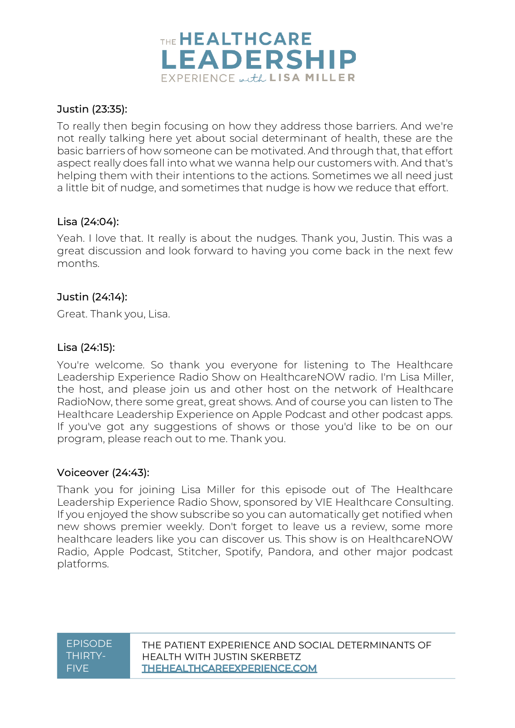

### Justin (23:35):

To really then begin focusing on how they address those barriers. And we're not really talking here yet about social determinant of health, these are the basic barriers of how someone can be motivated. And through that, that effort aspect really does fall into what we wanna help our customers with. And that's helping them with their intentions to the actions. Sometimes we all need just a little bit of nudge, and sometimes that nudge is how we reduce that effort.

### Lisa (24:04):

Yeah. I love that. It really is about the nudges. Thank you, Justin. This was a great discussion and look forward to having you come back in the next few months.

### Justin (24:14):

Great. Thank you, Lisa.

#### Lisa (24:15):

You're welcome. So thank you everyone for listening to The Healthcare Leadership Experience Radio Show on HealthcareNOW radio. I'm Lisa Miller, the host, and please join us and other host on the network of Healthcare RadioNow, there some great, great shows. And of course you can listen to The Healthcare Leadership Experience on Apple Podcast and other podcast apps. If you've got any suggestions of shows or those you'd like to be on our program, please reach out to me. Thank you.

#### Voiceover (24:43):

Thank you for joining Lisa Miller for this episode out of The Healthcare Leadership Experience Radio Show, sponsored by VIE Healthcare Consulting. If you enjoyed the show subscribe so you can automatically get notified when new shows premier weekly. Don't forget to leave us a review, some more healthcare leaders like you can discover us. This show is on HealthcareNOW Radio, Apple Podcast, Stitcher, Spotify, Pandora, and other major podcast platforms.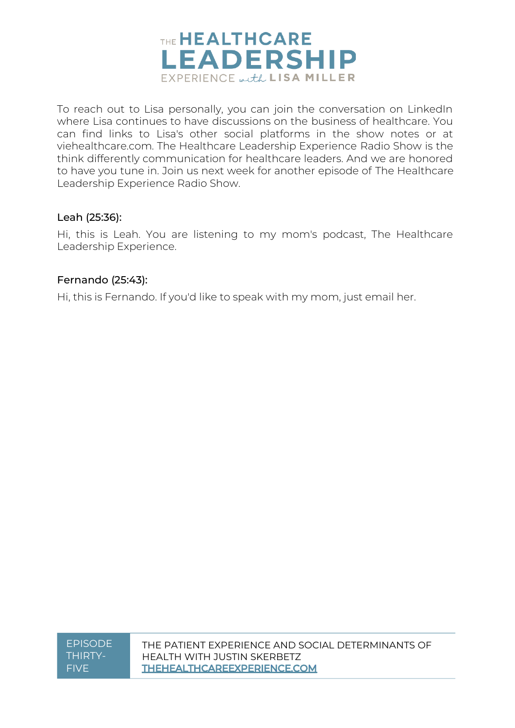

To reach out to Lisa personally, you can join the conversation on LinkedIn where Lisa continues to have discussions on the business of healthcare. You can find links to Lisa's other social platforms in the show notes or at viehealthcare.com. The Healthcare Leadership Experience Radio Show is the think differently communication for healthcare leaders. And we are honored to have you tune in. Join us next week for another episode of The Healthcare Leadership Experience Radio Show.

### Leah (25:36):

Hi, this is Leah. You are listening to my mom's podcast, The Healthcare Leadership Experience.

### Fernando (25:43):

Hi, this is Fernando. If you'd like to speak with my mom, just email her.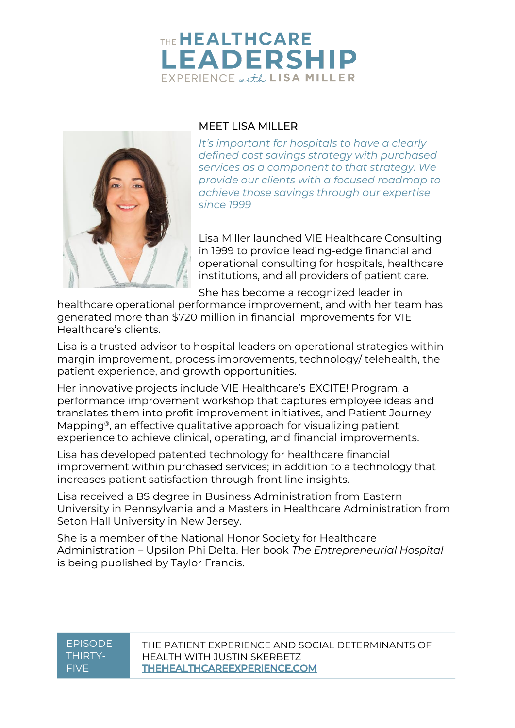# THE HEALTHCARE **LEADERSHIP** EXPERIENCE with LISA MILLER



# MEET LISA MILLER

*It's important for hospitals to have a clearly defined cost savings strategy with purchased services as a component to that strategy. We provide our clients with a focused roadmap to achieve those savings through our expertise since 1999*

Lisa Miller launched VIE Healthcare Consulting in 1999 to provide leading-edge financial and operational consulting for hospitals, healthcare institutions, and all providers of patient care.

She has become a recognized leader in

healthcare operational performance improvement, and with her team has generated more than \$720 million in financial improvements for VIE Healthcare's clients.

Lisa is a trusted advisor to hospital leaders on operational strategies within margin improvement, process improvements, technology/ telehealth, the patient experience, and growth opportunities.

Her innovative projects include VIE Healthcare's EXCITE! Program, a performance improvement workshop that captures employee ideas and translates them into profit improvement initiatives, and Patient Journey Mapping®, an effective qualitative approach for visualizing patient experience to achieve clinical, operating, and financial improvements.

Lisa has developed patented technology for healthcare financial improvement within purchased services; in addition to a technology that increases patient satisfaction through front line insights.

Lisa received a BS degree in Business Administration from Eastern University in Pennsylvania and a Masters in Healthcare Administration from Seton Hall University in New Jersey.

She is a member of the National Honor Society for Healthcare Administration – Upsilon Phi Delta. Her book *The Entrepreneurial Hospital* is being published by Taylor Francis.

### **EPISODE** THIRTY-FIVE